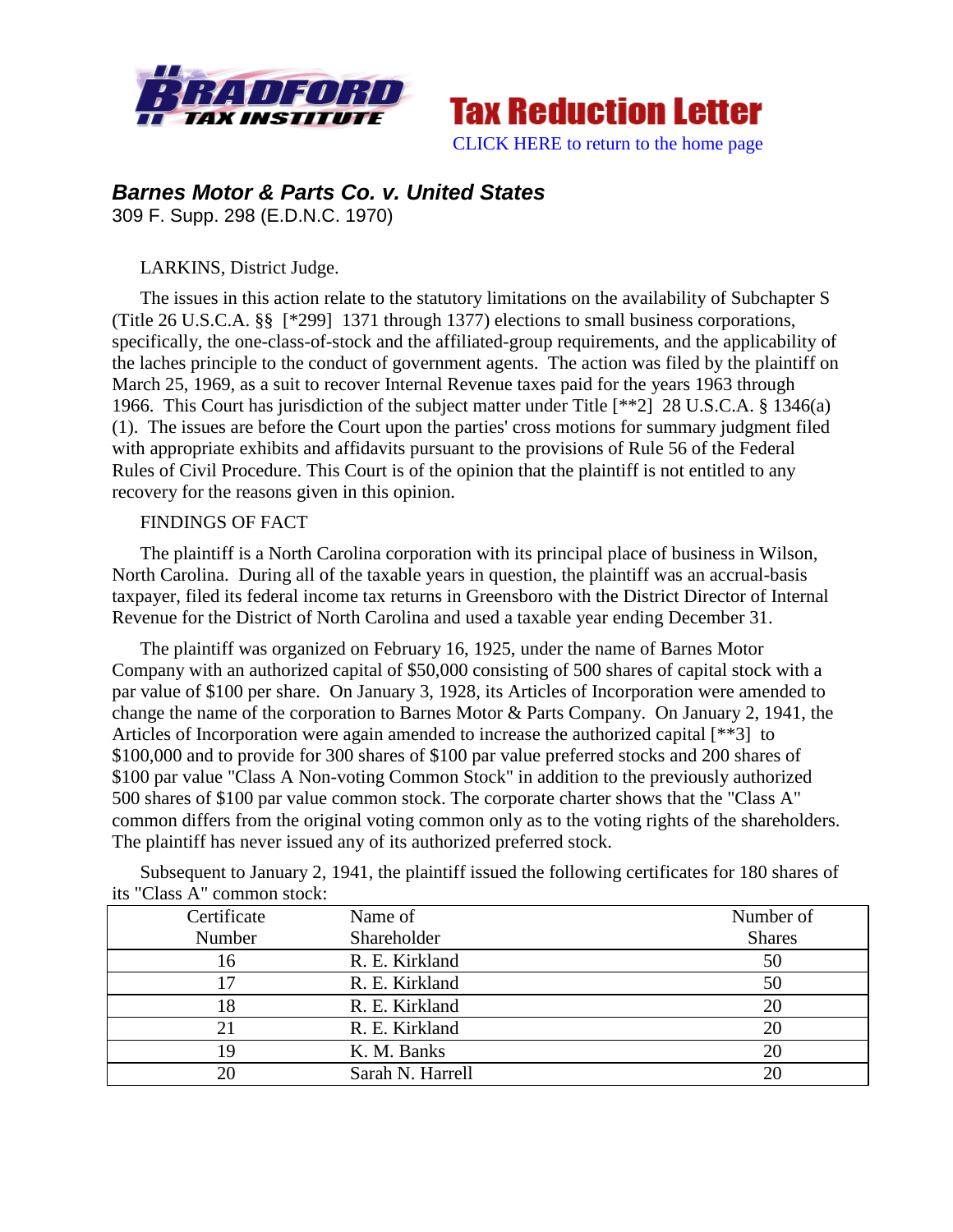



# *Barnes Motor & Parts Co. v. United States*

309 F. Supp. 298 (E.D.N.C. 1970)

# LARKINS, District Judge.

The issues in this action relate to the statutory limitations on the availability of Subchapter S (Title 26 U.S.C.A. §§ [\*299] 1371 through 1377) elections to small business corporations, specifically, the one-class-of-stock and the affiliated-group requirements, and the applicability of the laches principle to the conduct of government agents. The action was filed by the plaintiff on March 25, 1969, as a suit to recover Internal Revenue taxes paid for the years 1963 through 1966. This Court has jurisdiction of the subject matter under Title [\*\*2] 28 U.S.C.A. § 1346(a) (1). The issues are before the Court upon the parties' cross motions for summary judgment filed with appropriate exhibits and affidavits pursuant to the provisions of Rule 56 of the Federal Rules of Civil Procedure. This Court is of the opinion that the plaintiff is not entitled to any recovery for the reasons given in this opinion.

# FINDINGS OF FACT

The plaintiff is a North Carolina corporation with its principal place of business in Wilson, North Carolina. During all of the taxable years in question, the plaintiff was an accrual-basis taxpayer, filed its federal income tax returns in Greensboro with the District Director of Internal Revenue for the District of North Carolina and used a taxable year ending December 31.

The plaintiff was organized on February 16, 1925, under the name of Barnes Motor Company with an authorized capital of \$50,000 consisting of 500 shares of capital stock with a par value of \$100 per share. On January 3, 1928, its Articles of Incorporation were amended to change the name of the corporation to Barnes Motor & Parts Company. On January 2, 1941, the Articles of Incorporation were again amended to increase the authorized capital [\*\*3] to \$100,000 and to provide for 300 shares of \$100 par value preferred stocks and 200 shares of \$100 par value "Class A Non-voting Common Stock" in addition to the previously authorized 500 shares of \$100 par value common stock. The corporate charter shows that the "Class A" common differs from the original voting common only as to the voting rights of the shareholders. The plaintiff has never issued any of its authorized preferred stock.

Subsequent to January 2, 1941, the plaintiff issued the following certificates for 180 shares of its "Class A" common stock:

| Certificate | Name of          | Number of     |
|-------------|------------------|---------------|
| Number      | Shareholder      | <b>Shares</b> |
| 16          | R. E. Kirkland   | 50            |
|             | R. E. Kirkland   | 50            |
| 18          | R. E. Kirkland   | 20            |
| 21          | R. E. Kirkland   |               |
| 19          | K. M. Banks      | 20            |
|             | Sarah N. Harrell |               |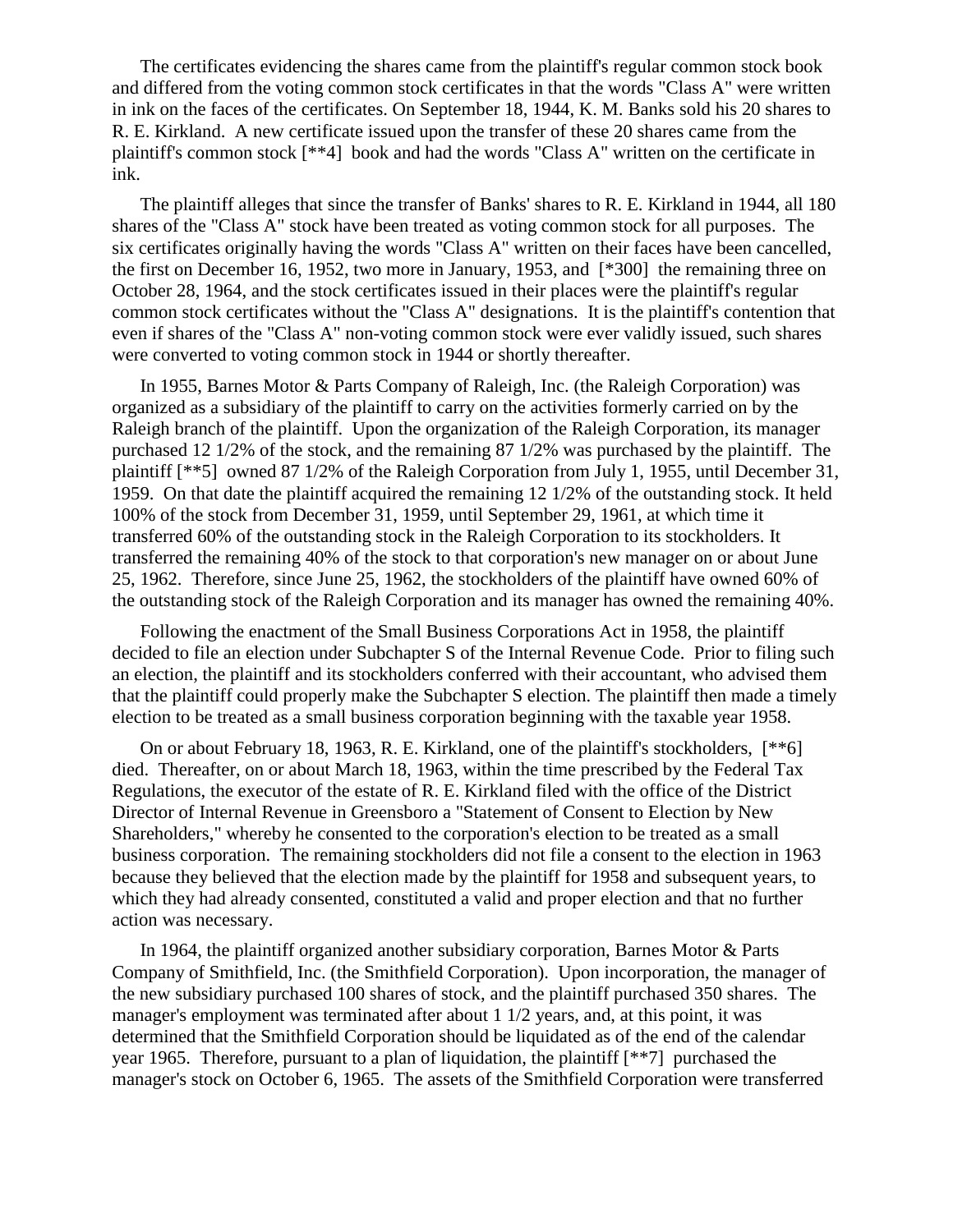The certificates evidencing the shares came from the plaintiff's regular common stock book and differed from the voting common stock certificates in that the words "Class A" were written in ink on the faces of the certificates. On September 18, 1944, K. M. Banks sold his 20 shares to R. E. Kirkland. A new certificate issued upon the transfer of these 20 shares came from the plaintiff's common stock [\*\*4] book and had the words "Class A" written on the certificate in ink.

The plaintiff alleges that since the transfer of Banks' shares to R. E. Kirkland in 1944, all 180 shares of the "Class A" stock have been treated as voting common stock for all purposes. The six certificates originally having the words "Class A" written on their faces have been cancelled, the first on December 16, 1952, two more in January, 1953, and [\*300] the remaining three on October 28, 1964, and the stock certificates issued in their places were the plaintiff's regular common stock certificates without the "Class A" designations. It is the plaintiff's contention that even if shares of the "Class A" non-voting common stock were ever validly issued, such shares were converted to voting common stock in 1944 or shortly thereafter.

In 1955, Barnes Motor & Parts Company of Raleigh, Inc. (the Raleigh Corporation) was organized as a subsidiary of the plaintiff to carry on the activities formerly carried on by the Raleigh branch of the plaintiff. Upon the organization of the Raleigh Corporation, its manager purchased 12 1/2% of the stock, and the remaining 87 1/2% was purchased by the plaintiff. The plaintiff [\*\*5] owned 87 1/2% of the Raleigh Corporation from July 1, 1955, until December 31, 1959. On that date the plaintiff acquired the remaining 12 1/2% of the outstanding stock. It held 100% of the stock from December 31, 1959, until September 29, 1961, at which time it transferred 60% of the outstanding stock in the Raleigh Corporation to its stockholders. It transferred the remaining 40% of the stock to that corporation's new manager on or about June 25, 1962. Therefore, since June 25, 1962, the stockholders of the plaintiff have owned 60% of the outstanding stock of the Raleigh Corporation and its manager has owned the remaining 40%.

Following the enactment of the Small Business Corporations Act in 1958, the plaintiff decided to file an election under Subchapter S of the Internal Revenue Code. Prior to filing such an election, the plaintiff and its stockholders conferred with their accountant, who advised them that the plaintiff could properly make the Subchapter S election. The plaintiff then made a timely election to be treated as a small business corporation beginning with the taxable year 1958.

On or about February 18, 1963, R. E. Kirkland, one of the plaintiff's stockholders, [\*\*6] died. Thereafter, on or about March 18, 1963, within the time prescribed by the Federal Tax Regulations, the executor of the estate of R. E. Kirkland filed with the office of the District Director of Internal Revenue in Greensboro a "Statement of Consent to Election by New Shareholders," whereby he consented to the corporation's election to be treated as a small business corporation. The remaining stockholders did not file a consent to the election in 1963 because they believed that the election made by the plaintiff for 1958 and subsequent years, to which they had already consented, constituted a valid and proper election and that no further action was necessary.

In 1964, the plaintiff organized another subsidiary corporation, Barnes Motor & Parts Company of Smithfield, Inc. (the Smithfield Corporation). Upon incorporation, the manager of the new subsidiary purchased 100 shares of stock, and the plaintiff purchased 350 shares. The manager's employment was terminated after about 1 1/2 years, and, at this point, it was determined that the Smithfield Corporation should be liquidated as of the end of the calendar year 1965. Therefore, pursuant to a plan of liquidation, the plaintiff [\*\*7] purchased the manager's stock on October 6, 1965. The assets of the Smithfield Corporation were transferred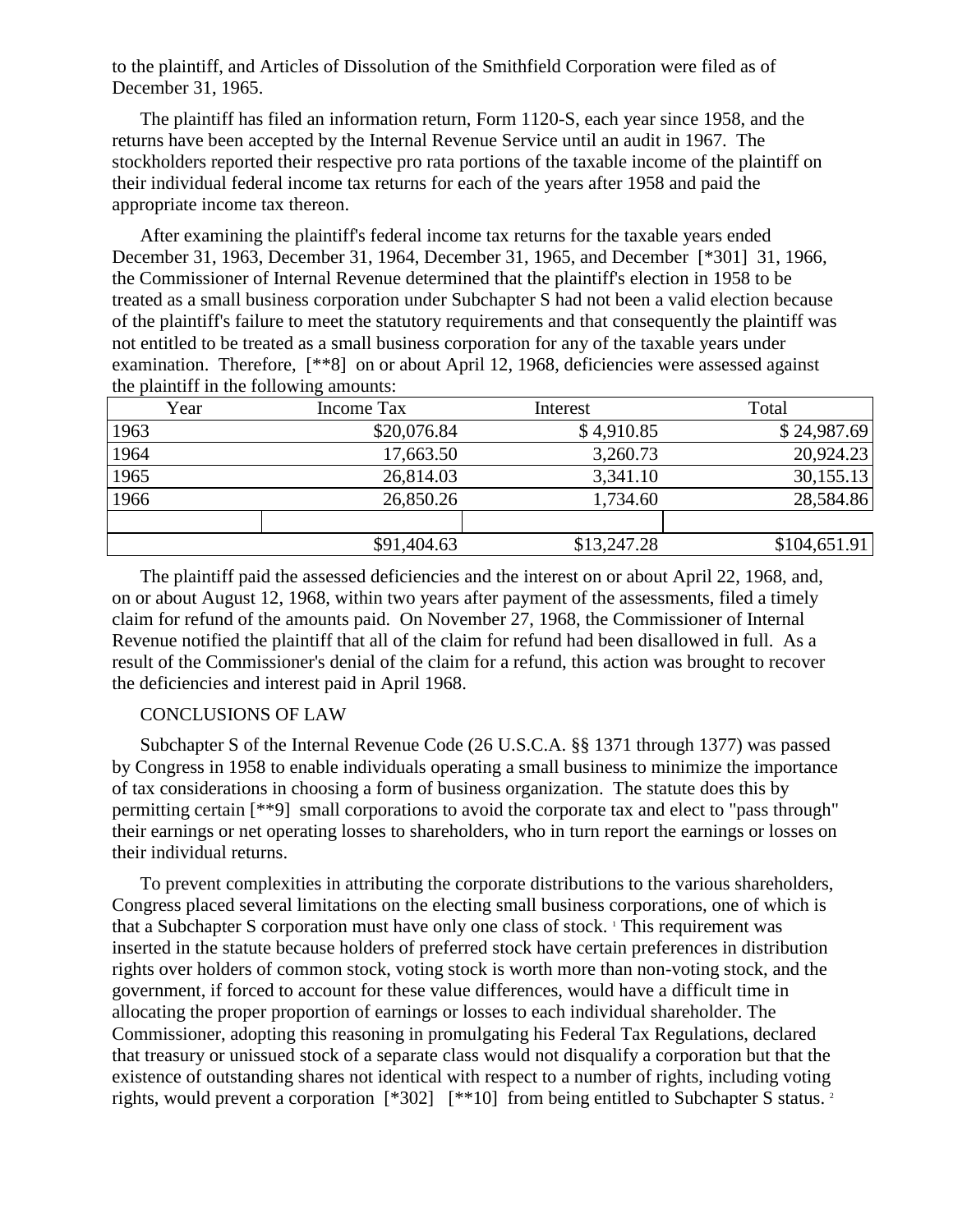to the plaintiff, and Articles of Dissolution of the Smithfield Corporation were filed as of December 31, 1965.

The plaintiff has filed an information return, Form 1120-S, each year since 1958, and the returns have been accepted by the Internal Revenue Service until an audit in 1967. The stockholders reported their respective pro rata portions of the taxable income of the plaintiff on their individual federal income tax returns for each of the years after 1958 and paid the appropriate income tax thereon.

After examining the plaintiff's federal income tax returns for the taxable years ended December 31, 1963, December 31, 1964, December 31, 1965, and December [\*301] 31, 1966, the Commissioner of Internal Revenue determined that the plaintiff's election in 1958 to be treated as a small business corporation under Subchapter S had not been a valid election because of the plaintiff's failure to meet the statutory requirements and that consequently the plaintiff was not entitled to be treated as a small business corporation for any of the taxable years under examination. Therefore, [\*\*8] on or about April 12, 1968, deficiencies were assessed against the plaintiff in the following amounts:

| Year | Income Tax  | Interest    | Total        |
|------|-------------|-------------|--------------|
| 1963 | \$20,076.84 | \$4,910.85  | \$24,987.69  |
| 1964 | 17,663.50   | 3,260.73    | 20,924.23    |
| 1965 | 26,814.03   | 3,341.10    | 30,155.13    |
| 1966 | 26,850.26   | 1,734.60    | 28,584.86    |
|      |             |             |              |
|      | \$91,404.63 | \$13,247.28 | \$104,651.91 |

The plaintiff paid the assessed deficiencies and the interest on or about April 22, 1968, and, on or about August 12, 1968, within two years after payment of the assessments, filed a timely claim for refund of the amounts paid. On November 27, 1968, the Commissioner of Internal Revenue notified the plaintiff that all of the claim for refund had been disallowed in full. As a result of the Commissioner's denial of the claim for a refund, this action was brought to recover the deficiencies and interest paid in April 1968.

## CONCLUSIONS OF LAW

Subchapter S of the Internal Revenue Code (26 U.S.C.A. §§ 1371 through 1377) was passed by Congress in 1958 to enable individuals operating a small business to minimize the importance of tax considerations in choosing a form of business organization. The statute does this by permitting certain [\*\*9] small corporations to avoid the corporate tax and elect to "pass through" their earnings or net operating losses to shareholders, who in turn report the earnings or losses on their individual returns.

To prevent complexities in attributing the corporate distributions to the various shareholders, Congress placed several limitations on the electing small business corporations, one of which is that a Subchapter S corporation must have only one class of stock. <sup>1</sup> This requirement was inserted in the statute because holders of preferred stock have certain preferences in distribution rights over holders of common stock, voting stock is worth more than non-voting stock, and the government, if forced to account for these value differences, would have a difficult time in allocating the proper proportion of earnings or losses to each individual shareholder. The Commissioner, adopting this reasoning in promulgating his Federal Tax Regulations, declared that treasury or unissued stock of a separate class would not disqualify a corporation but that the existence of outstanding shares not identical with respect to a number of rights, including voting rights, would prevent a corporation [\*302] [\*\*10] from being entitled to Subchapter S status. 2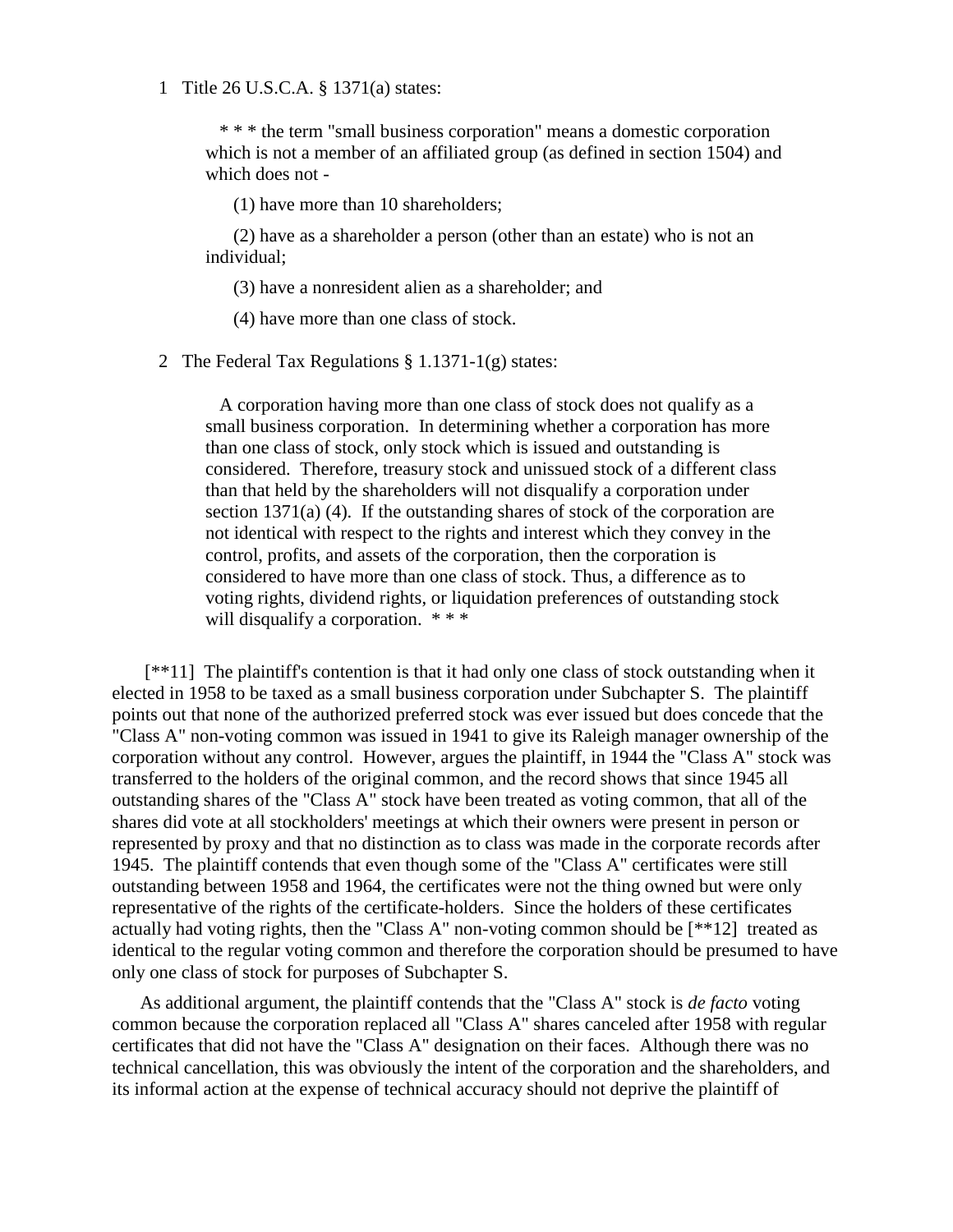### 1 Title 26 U.S.C.A. § 1371(a) states:

 \* \* \* the term "small business corporation" means a domestic corporation which is not a member of an affiliated group (as defined in section 1504) and which does not -

(1) have more than 10 shareholders;

(2) have as a shareholder a person (other than an estate) who is not an individual;

(3) have a nonresident alien as a shareholder; and

(4) have more than one class of stock.

2 The Federal Tax Regulations § 1.1371-1(g) states:

 A corporation having more than one class of stock does not qualify as a small business corporation. In determining whether a corporation has more than one class of stock, only stock which is issued and outstanding is considered. Therefore, treasury stock and unissued stock of a different class than that held by the shareholders will not disqualify a corporation under section 1371(a) (4). If the outstanding shares of stock of the corporation are not identical with respect to the rights and interest which they convey in the control, profits, and assets of the corporation, then the corporation is considered to have more than one class of stock. Thus, a difference as to voting rights, dividend rights, or liquidation preferences of outstanding stock will disqualify a corporation. \*\*\*

[\*\*11] The plaintiff's contention is that it had only one class of stock outstanding when it elected in 1958 to be taxed as a small business corporation under Subchapter S. The plaintiff points out that none of the authorized preferred stock was ever issued but does concede that the "Class A" non-voting common was issued in 1941 to give its Raleigh manager ownership of the corporation without any control. However, argues the plaintiff, in 1944 the "Class A" stock was transferred to the holders of the original common, and the record shows that since 1945 all outstanding shares of the "Class A" stock have been treated as voting common, that all of the shares did vote at all stockholders' meetings at which their owners were present in person or represented by proxy and that no distinction as to class was made in the corporate records after 1945. The plaintiff contends that even though some of the "Class A" certificates were still outstanding between 1958 and 1964, the certificates were not the thing owned but were only representative of the rights of the certificate-holders. Since the holders of these certificates actually had voting rights, then the "Class A" non-voting common should be [\*\*12] treated as identical to the regular voting common and therefore the corporation should be presumed to have only one class of stock for purposes of Subchapter S.

As additional argument, the plaintiff contends that the "Class A" stock is *de facto* voting common because the corporation replaced all "Class A" shares canceled after 1958 with regular certificates that did not have the "Class A" designation on their faces. Although there was no technical cancellation, this was obviously the intent of the corporation and the shareholders, and its informal action at the expense of technical accuracy should not deprive the plaintiff of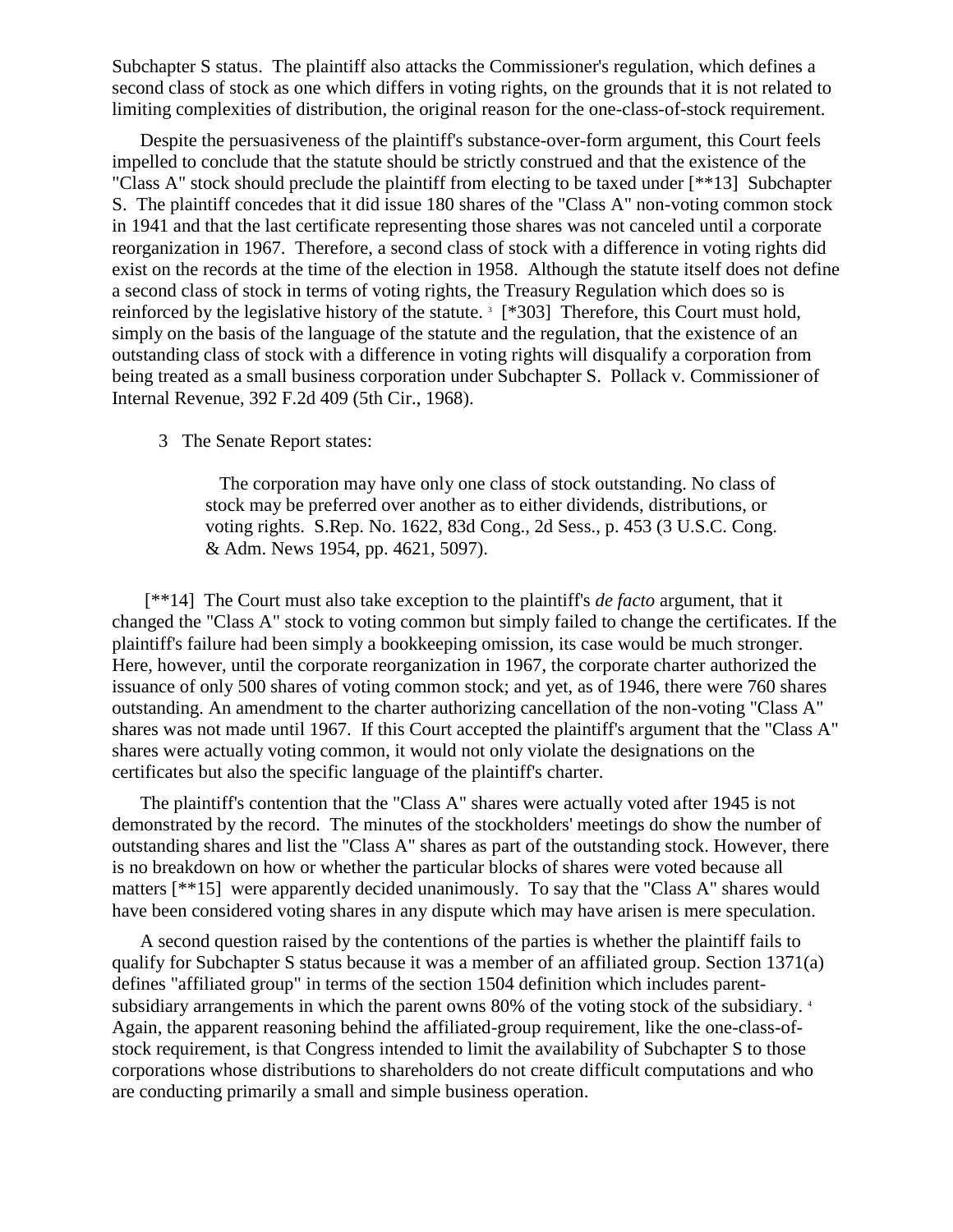Subchapter S status. The plaintiff also attacks the Commissioner's regulation, which defines a second class of stock as one which differs in voting rights, on the grounds that it is not related to limiting complexities of distribution, the original reason for the one-class-of-stock requirement.

Despite the persuasiveness of the plaintiff's substance-over-form argument, this Court feels impelled to conclude that the statute should be strictly construed and that the existence of the "Class A" stock should preclude the plaintiff from electing to be taxed under [\*\*13] Subchapter S. The plaintiff concedes that it did issue 180 shares of the "Class A" non-voting common stock in 1941 and that the last certificate representing those shares was not canceled until a corporate reorganization in 1967. Therefore, a second class of stock with a difference in voting rights did exist on the records at the time of the election in 1958. Although the statute itself does not define a second class of stock in terms of voting rights, the Treasury Regulation which does so is reinforced by the legislative history of the statute.<sup>3</sup> [\*303] Therefore, this Court must hold, simply on the basis of the language of the statute and the regulation, that the existence of an outstanding class of stock with a difference in voting rights will disqualify a corporation from being treated as a small business corporation under Subchapter S. Pollack v. Commissioner of Internal Revenue, 392 F.2d 409 (5th Cir., 1968).

3 The Senate Report states:

 The corporation may have only one class of stock outstanding. No class of stock may be preferred over another as to either dividends, distributions, or voting rights. S.Rep. No. 1622, 83d Cong., 2d Sess., p. 453 (3 U.S.C. Cong. & Adm. News 1954, pp. 4621, 5097).

[\*\*14] The Court must also take exception to the plaintiff's *de facto* argument, that it changed the "Class A" stock to voting common but simply failed to change the certificates. If the plaintiff's failure had been simply a bookkeeping omission, its case would be much stronger. Here, however, until the corporate reorganization in 1967, the corporate charter authorized the issuance of only 500 shares of voting common stock; and yet, as of 1946, there were 760 shares outstanding. An amendment to the charter authorizing cancellation of the non-voting "Class A" shares was not made until 1967. If this Court accepted the plaintiff's argument that the "Class A" shares were actually voting common, it would not only violate the designations on the certificates but also the specific language of the plaintiff's charter.

The plaintiff's contention that the "Class A" shares were actually voted after 1945 is not demonstrated by the record. The minutes of the stockholders' meetings do show the number of outstanding shares and list the "Class A" shares as part of the outstanding stock. However, there is no breakdown on how or whether the particular blocks of shares were voted because all matters [\*\*15] were apparently decided unanimously. To say that the "Class A" shares would have been considered voting shares in any dispute which may have arisen is mere speculation.

A second question raised by the contentions of the parties is whether the plaintiff fails to qualify for Subchapter S status because it was a member of an affiliated group. Section 1371(a) defines "affiliated group" in terms of the section 1504 definition which includes parentsubsidiary arrangements in which the parent owns 80% of the voting stock of the subsidiary.<sup>4</sup> Again, the apparent reasoning behind the affiliated-group requirement, like the one-class-ofstock requirement, is that Congress intended to limit the availability of Subchapter S to those corporations whose distributions to shareholders do not create difficult computations and who are conducting primarily a small and simple business operation.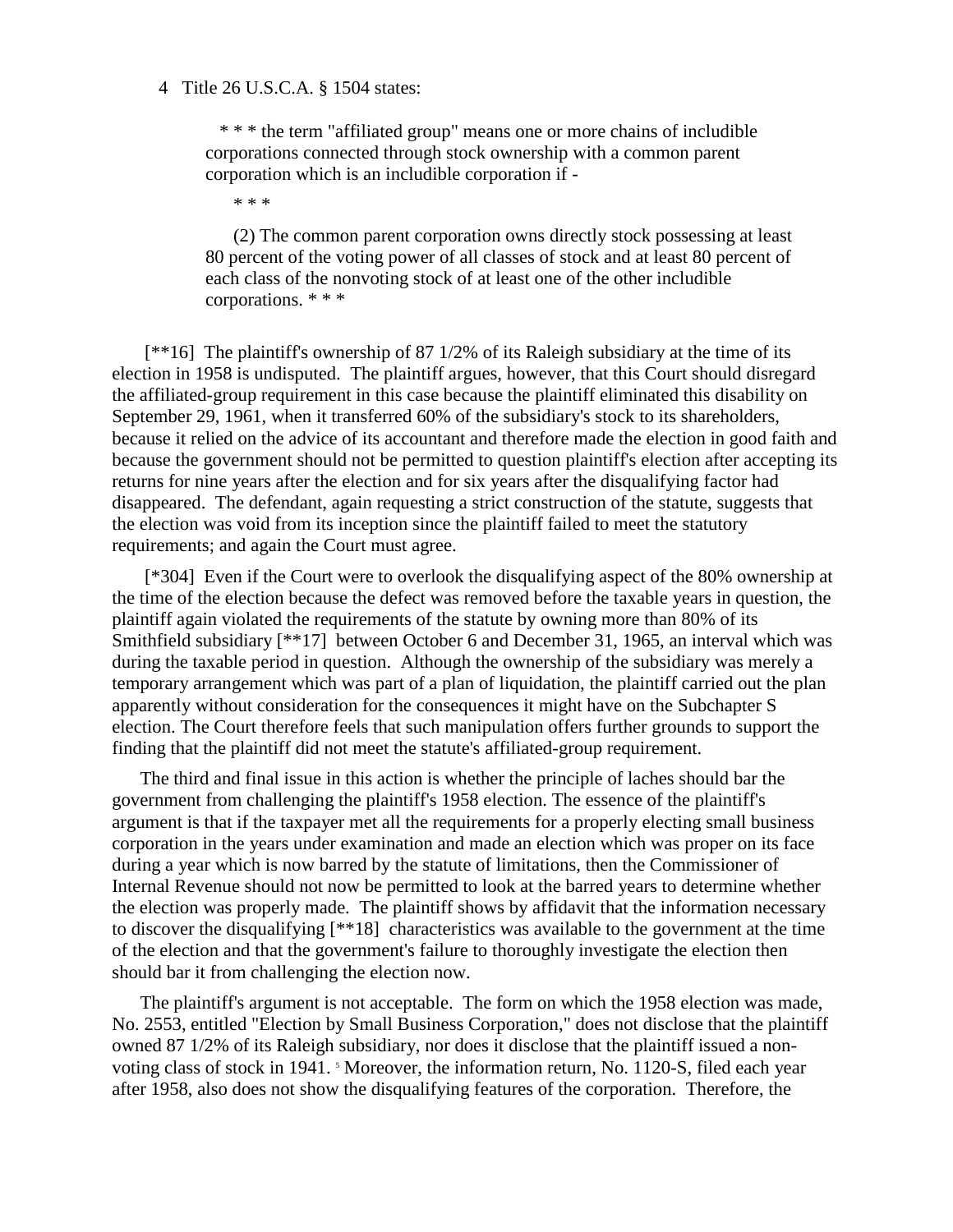#### 4 Title 26 U.S.C.A. § 1504 states:

 \* \* \* the term "affiliated group" means one or more chains of includible corporations connected through stock ownership with a common parent corporation which is an includible corporation if -

\* \* \*

(2) The common parent corporation owns directly stock possessing at least 80 percent of the voting power of all classes of stock and at least 80 percent of each class of the nonvoting stock of at least one of the other includible corporations. \* \* \*

[\*\*16] The plaintiff's ownership of 87 1/2% of its Raleigh subsidiary at the time of its election in 1958 is undisputed. The plaintiff argues, however, that this Court should disregard the affiliated-group requirement in this case because the plaintiff eliminated this disability on September 29, 1961, when it transferred 60% of the subsidiary's stock to its shareholders, because it relied on the advice of its accountant and therefore made the election in good faith and because the government should not be permitted to question plaintiff's election after accepting its returns for nine years after the election and for six years after the disqualifying factor had disappeared. The defendant, again requesting a strict construction of the statute, suggests that the election was void from its inception since the plaintiff failed to meet the statutory requirements; and again the Court must agree.

[\*304] Even if the Court were to overlook the disqualifying aspect of the 80% ownership at the time of the election because the defect was removed before the taxable years in question, the plaintiff again violated the requirements of the statute by owning more than 80% of its Smithfield subsidiary [\*\*17] between October 6 and December 31, 1965, an interval which was during the taxable period in question. Although the ownership of the subsidiary was merely a temporary arrangement which was part of a plan of liquidation, the plaintiff carried out the plan apparently without consideration for the consequences it might have on the Subchapter S election. The Court therefore feels that such manipulation offers further grounds to support the finding that the plaintiff did not meet the statute's affiliated-group requirement.

The third and final issue in this action is whether the principle of laches should bar the government from challenging the plaintiff's 1958 election. The essence of the plaintiff's argument is that if the taxpayer met all the requirements for a properly electing small business corporation in the years under examination and made an election which was proper on its face during a year which is now barred by the statute of limitations, then the Commissioner of Internal Revenue should not now be permitted to look at the barred years to determine whether the election was properly made. The plaintiff shows by affidavit that the information necessary to discover the disqualifying [\*\*18] characteristics was available to the government at the time of the election and that the government's failure to thoroughly investigate the election then should bar it from challenging the election now.

The plaintiff's argument is not acceptable. The form on which the 1958 election was made, No. 2553, entitled "Election by Small Business Corporation," does not disclose that the plaintiff owned 87 1/2% of its Raleigh subsidiary, nor does it disclose that the plaintiff issued a nonvoting class of stock in 1941. <sup>5</sup> Moreover, the information return, No. 1120-S, filed each year after 1958, also does not show the disqualifying features of the corporation. Therefore, the